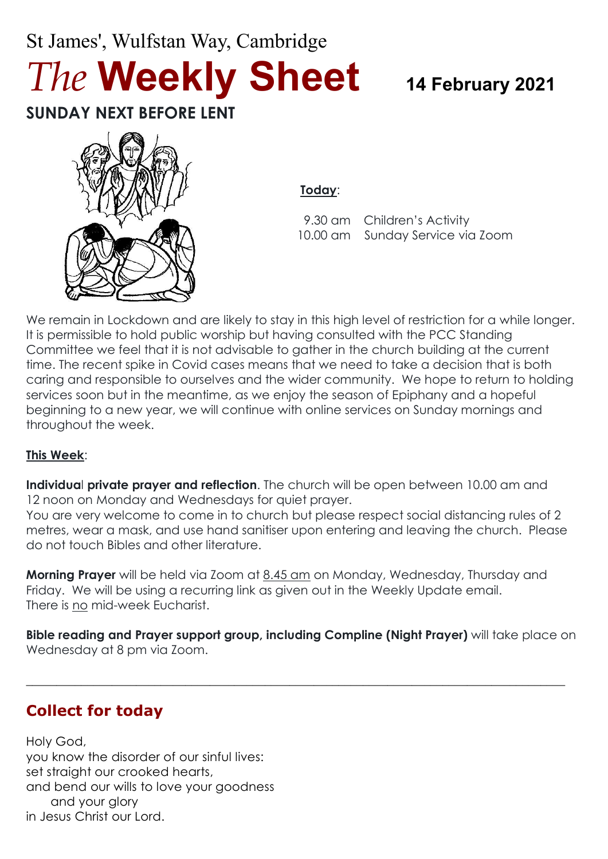# St James', Wulfstan Way, Cambridge *The* **Weekly Sheet <sup>14</sup> February <sup>2021</sup>**

# **SUNDAY NEXT BEFORE LENT**



#### **Today**:

 9.30 am Children's Activity 10.00 am Sunday Service via Zoom

We remain in Lockdown and are likely to stay in this high level of restriction for a while longer. It is permissible to hold public worship but having consulted with the PCC Standing Committee we feel that it is not advisable to gather in the church building at the current time. The recent spike in Covid cases means that we need to take a decision that is both caring and responsible to ourselves and the wider community. We hope to return to holding services soon but in the meantime, as we enjoy the season of Epiphany and a hopeful beginning to a new year, we will continue with online services on Sunday mornings and throughout the week.

#### **This Week**:

**Individua**l **private prayer and reflection**. The church will be open between 10.00 am and 12 noon on Monday and Wednesdays for quiet prayer.

You are very welcome to come in to church but please respect social distancing rules of 2 metres, wear a mask, and use hand sanitiser upon entering and leaving the church. Please do not touch Bibles and other literature.

**Morning Prayer** will be held via Zoom at 8.45 am on Monday, Wednesday, Thursday and Friday. We will be using a recurring link as given out in the Weekly Update email. There is no mid-week Eucharist.

**Bible reading and Prayer support group, including Compline (Night Prayer)** will take place on Wednesday at 8 pm via Zoom.

 $\_$  , and the set of the set of the set of the set of the set of the set of the set of the set of the set of the set of the set of the set of the set of the set of the set of the set of the set of the set of the set of th

# **Collect for today**

Holy God, you know the disorder of our sinful lives: set straight our crooked hearts, and bend our wills to love your goodness and your glory in Jesus Christ our Lord.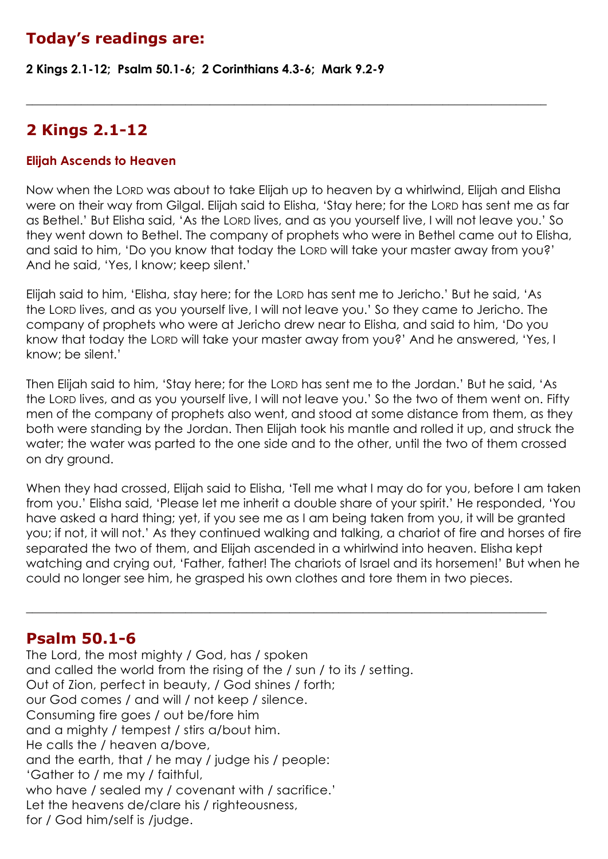# **Today's readings are:**

**2 Kings 2.1-12; Psalm 50.1-6; 2 Corinthians 4.3-6; Mark 9.2-9**

# **2 Kings 2.1-12**

#### **Elijah Ascends to Heaven**

Now when the LORD was about to take Elijah up to heaven by a whirlwind, Elijah and Elisha were on their way from Gilgal. Elijah said to Elisha, 'Stay here; for the LORD has sent me as far as Bethel.' But Elisha said, 'As the LORD lives, and as you yourself live, I will not leave you.' So they went down to Bethel. The company of prophets who were in Bethel came out to Elisha, and said to him, 'Do you know that today the LORD will take your master away from you?' And he said, 'Yes, I know; keep silent.'

 $\_$  , and the set of the set of the set of the set of the set of the set of the set of the set of the set of the set of the set of the set of the set of the set of the set of the set of the set of the set of the set of th

Elijah said to him, 'Elisha, stay here; for the LORD has sent me to Jericho.' But he said, 'As the LORD lives, and as you yourself live, I will not leave you.' So they came to Jericho. The company of prophets who were at Jericho drew near to Elisha, and said to him, 'Do you know that today the LORD will take your master away from you?' And he answered, 'Yes, I know; be silent.'

Then Elijah said to him, 'Stay here; for the LORD has sent me to the Jordan.' But he said, 'As the LORD lives, and as you yourself live, I will not leave you.' So the two of them went on. Fifty men of the company of prophets also went, and stood at some distance from them, as they both were standing by the Jordan. Then Elijah took his mantle and rolled it up, and struck the water; the water was parted to the one side and to the other, until the two of them crossed on dry ground.

When they had crossed, Elijah said to Elisha, 'Tell me what I may do for you, before I am taken from you.' Elisha said, 'Please let me inherit a double share of your spirit.' He responded, 'You have asked a hard thing; yet, if you see me as I am being taken from you, it will be granted you; if not, it will not.' As they continued walking and talking, a chariot of fire and horses of fire separated the two of them, and Elijah ascended in a whirlwind into heaven. Elisha kept watching and crying out, 'Father, father! The chariots of Israel and its horsemen!' But when he could no longer see him, he grasped his own clothes and tore them in two pieces.

 $\_$  , and the set of the set of the set of the set of the set of the set of the set of the set of the set of the set of the set of the set of the set of the set of the set of the set of the set of the set of the set of th

#### **Psalm 50.1-6**

The Lord, the most mighty / God, has / spoken and called the world from the rising of the / sun / to its / setting. Out of Zion, perfect in beauty, / God shines / forth; our God comes / and will / not keep / silence. Consuming fire goes / out be/fore him and a mighty / tempest / stirs a/bout him. He calls the / heaven a/bove, and the earth, that / he may / judge his / people: 'Gather to / me my / faithful, who have / sealed my / covenant with / sacrifice.' Let the heavens de/clare his / righteousness, for / God him/self is /judge.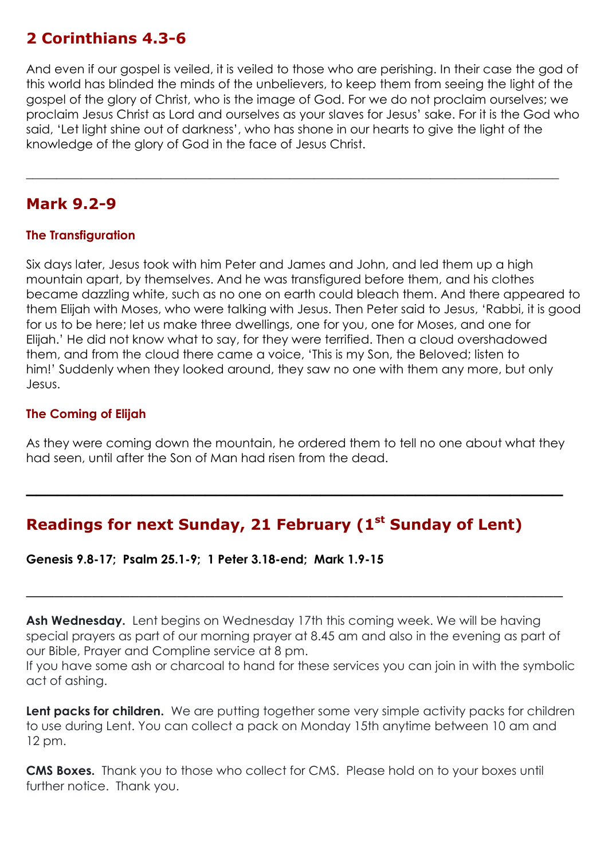# **2 Corinthians 4.3-6**

And even if our gospel is veiled, it is veiled to those who are perishing. In their case the god of this world has blinded the minds of the unbelievers, to keep them from seeing the light of the gospel of the glory of Christ, who is the image of God. For we do not proclaim ourselves; we proclaim Jesus Christ as Lord and ourselves as your slaves for Jesus' sake. For it is the God who said, 'Let light shine out of darkness', who has shone in our hearts to give the light of the knowledge of the glory of God in the face of Jesus Christ.

 $\_$  , and the set of the set of the set of the set of the set of the set of the set of the set of the set of the set of the set of the set of the set of the set of the set of the set of the set of the set of the set of th

### **Mark 9.2-9**

#### **The Transfiguration**

Six days later, Jesus took with him Peter and James and John, and led them up a high mountain apart, by themselves. And he was transfigured before them, and his clothes became dazzling white, such as no one on earth could bleach them. And there appeared to them Elijah with Moses, who were talking with Jesus. Then Peter said to Jesus, 'Rabbi, it is good for us to be here; let us make three dwellings, one for you, one for Moses, and one for Elijah.' He did not know what to say, for they were terrified. Then a cloud overshadowed them, and from the cloud there came a voice, 'This is my Son, the Beloved; listen to him!' Suddenly when they looked around, they saw no one with them any more, but only Jesus.

#### **The Coming of Elijah**

As they were coming down the mountain, he ordered them to tell no one about what they had seen, until after the Son of Man had risen from the dead.

**\_\_\_\_\_\_\_\_\_\_\_\_\_\_\_\_\_\_\_\_\_\_\_\_\_\_\_\_\_\_\_\_\_\_\_\_\_\_\_\_\_\_\_\_\_\_\_\_\_\_\_**

# **Readings for next Sunday, 21 February (1 st Sunday of Lent)**

**Genesis 9.8-17; Psalm 25.1-9; 1 Peter 3.18-end; Mark 1.9-15**

**Ash Wednesday.** Lent begins on Wednesday 17th this coming week. We will be having special prayers as part of our morning prayer at 8.45 am and also in the evening as part of our Bible, Prayer and Compline service at 8 pm.

\_\_\_\_\_\_\_\_\_\_\_\_\_\_\_\_\_\_\_\_\_\_\_\_\_\_\_\_\_\_\_\_\_\_\_\_\_\_\_\_\_\_\_\_\_\_\_\_\_\_\_\_\_\_\_\_\_

If you have some ash or charcoal to hand for these services you can join in with the symbolic act of ashing.

Lent packs for children. We are putting together some very simple activity packs for children to use during Lent. You can collect a pack on Monday 15th anytime between 10 am and 12 pm.

**CMS Boxes.** Thank you to those who collect for CMS. Please hold on to your boxes until further notice. Thank you.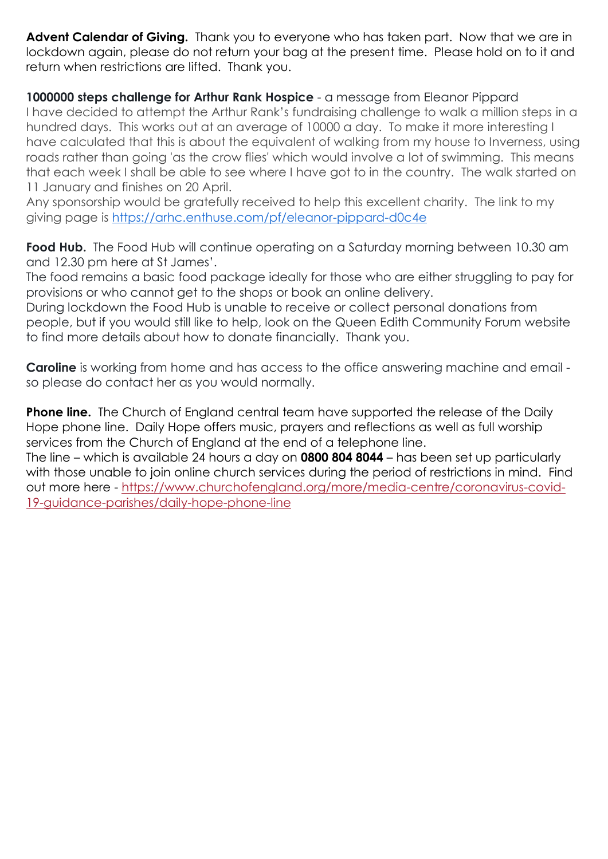**Advent Calendar of Giving.** Thank you to everyone who has taken part. Now that we are in lockdown again, please do not return your bag at the present time. Please hold on to it and return when restrictions are lifted. Thank you.

#### **1000000 steps challenge for Arthur Rank Hospice** - a message from Eleanor Pippard

I have decided to attempt the Arthur Rank's fundraising challenge to walk a million steps in a hundred days. This works out at an average of 10000 a day. To make it more interesting I have calculated that this is about the equivalent of walking from my house to Inverness, using roads rather than going 'as the crow flies' which would involve a lot of swimming. This means that each week I shall be able to see where I have got to in the country. The walk started on 11 January and finishes on 20 April.

Any sponsorship would be gratefully received to help this excellent charity. The link to my giving page is <https://arhc.enthuse.com/pf/eleanor-pippard-d0c4e>

**Food Hub.** The Food Hub will continue operating on a Saturday morning between 10.30 am and 12.30 pm here at St James'.

The food remains a basic food package ideally for those who are either struggling to pay for provisions or who cannot get to the shops or book an online delivery.

During lockdown the Food Hub is unable to receive or collect personal donations from people, but if you would still like to help, look on the Queen Edith Community Forum website to find more details about how to donate financially. Thank you.

**Caroline** is working from home and has access to the office answering machine and email so please do contact her as you would normally.

**Phone line.** The Church of England central team have supported the release of the Daily Hope phone line. Daily Hope offers music, prayers and reflections as well as full worship services from the Church of England at the end of a telephone line.

The line – which is available 24 hours a day on **0800 804 8044** – has been set up particularly with those unable to join online church services during the period of restrictions in mind. Find out more here - [https://www.churchofengland.org/more/media-centre/coronavirus-covid-](https://www.churchofengland.org/more/media-centre/coronavirus-covid-19-guidance-parishes/daily-hope-phone-line)[19-guidance-parishes/daily-hope-phone-line](https://www.churchofengland.org/more/media-centre/coronavirus-covid-19-guidance-parishes/daily-hope-phone-line)